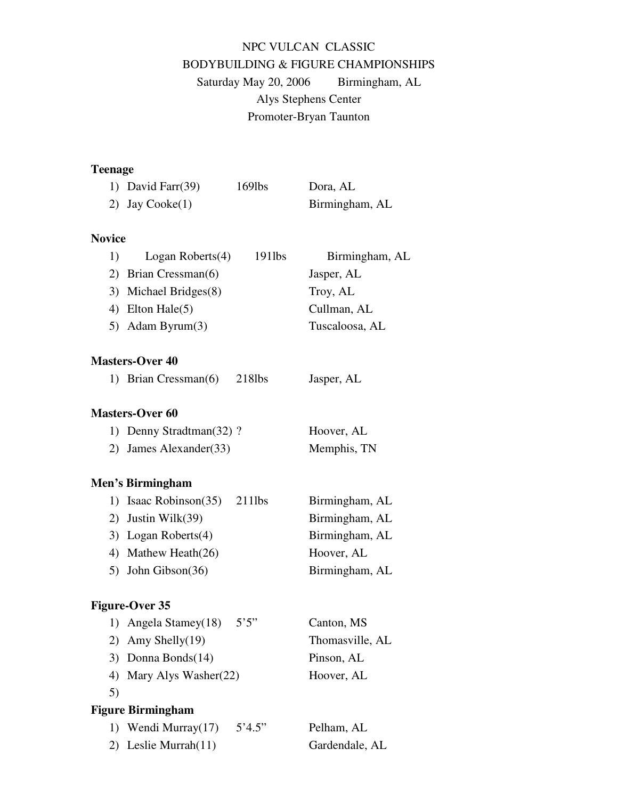# NPC VULCAN CLASSIC BODYBUILDING & FIGURE CHAMPIONSHIPS Saturday May 20, 2006 Birmingham, AL Alys Stephens Center Promoter-Bryan Taunton

### **Teenage**

| 1) David Farr $(39)$ | 169lbs | Dora, AL       |
|----------------------|--------|----------------|
| 2) Jay Cooke $(1)$   |        | Birmingham, AL |

#### **Novice**

| $\mathbf{D}$ | Logan Roberts $(4)$   | $191$ lbs | Birmingham, AL |
|--------------|-----------------------|-----------|----------------|
|              | 2) Brian Cressman(6)  |           | Jasper, AL     |
|              | 3) Michael Bridges(8) |           | Troy, AL       |
|              | 4) Elton Hale $(5)$   |           | Cullman, AL    |
|              | 5) Adam Byrum $(3)$   |           | Tuscaloosa, AL |

#### **Masters-Over 40**

1) Brian Cressman(6) 218lbs Jasper, AL

#### **Masters-Over 60**

| 1) Denny Stradtman(32)? | Hoover, AL  |
|-------------------------|-------------|
| 2) James Alexander(33)  | Memphis, TN |

#### **Men's Birmingham**

| 1) Isaac Robinson(35) 211lbs | Birmingham, AL |
|------------------------------|----------------|
| 2) Justin Wilk $(39)$        | Birmingham, AL |
| 3) Logan Roberts(4)          | Birmingham, AL |
| 4) Mathew Heath(26)          | Hoover, AL     |
| 5) John Gibson $(36)$        | Birmingham, AL |

#### **Figure-Over 35**

|    | 5'5''<br>1) Angela Stamey(18) | Canton, MS      |
|----|-------------------------------|-----------------|
|    | 2) Amy Shelly $(19)$          | Thomasville, AL |
|    | 3) Donna Bonds $(14)$         | Pinson, AL      |
|    | 4) Mary Alys Washer(22)       | Hoover, AL      |
| 5) |                               |                 |
|    |                               |                 |

# **Figure Birmingham**

| 1) Wendi Murray $(17)$  | 5'4.5" | Pelham, AL     |
|-------------------------|--------|----------------|
| 2) Leslie Murrah $(11)$ |        | Gardendale, AL |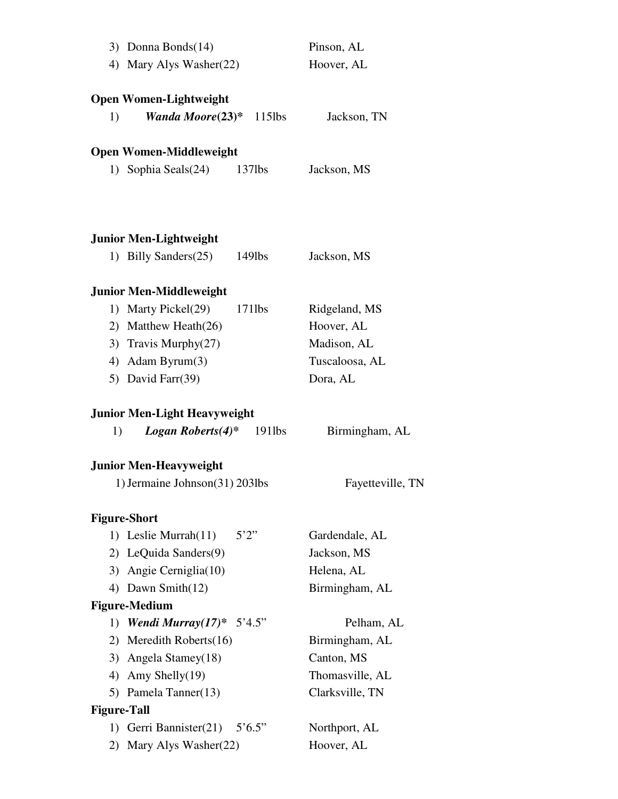|                    | 3) Donna Bonds(14)                                                          | Pinson, AL                  |
|--------------------|-----------------------------------------------------------------------------|-----------------------------|
|                    | 4) Mary Alys Washer(22)                                                     | Hoover, AL                  |
|                    |                                                                             |                             |
|                    | <b>Open Women-Lightweight</b>                                               |                             |
| 1)                 | Wanda Moore $(23)^*$<br>$115$ lbs                                           | Jackson, TN                 |
|                    | <b>Open Women-Middleweight</b>                                              |                             |
|                    | 1) Sophia Seals(24)<br>$137$ lbs                                            | Jackson, MS                 |
|                    |                                                                             |                             |
|                    |                                                                             |                             |
|                    | <b>Junior Men-Lightweight</b>                                               |                             |
|                    | 1) Billy Sanders(25)<br>$149$ lbs                                           | Jackson, MS                 |
|                    |                                                                             |                             |
|                    | <b>Junior Men-Middleweight</b>                                              |                             |
|                    | 1) Marty Pickel(29)<br>$171$ lbs                                            | Ridgeland, MS               |
|                    | 2) Matthew Heath(26)                                                        | Hoover, AL                  |
|                    | 3) Travis Murphy(27)                                                        | Madison, AL                 |
|                    | 4) Adam Byrum(3)                                                            | Tuscaloosa, AL              |
|                    | 5) David Farr(39)                                                           | Dora, AL                    |
|                    | <b>Junior Men-Light Heavyweight</b>                                         |                             |
|                    |                                                                             |                             |
|                    |                                                                             |                             |
| 1)                 | Logan Roberts $(4)^*$<br>$191$ lbs                                          | Birmingham, AL              |
|                    | <b>Junior Men-Heavyweight</b>                                               |                             |
|                    | 1) Jermaine Johnson(31) 203lbs                                              | Fayetteville, TN            |
|                    |                                                                             |                             |
|                    | <b>Figure-Short</b>                                                         |                             |
|                    | 1) Leslie Murrah(11)<br>5'2''                                               | Gardendale, AL              |
|                    | 2) LeQuida Sanders(9)                                                       | Jackson, MS                 |
|                    | 3) Angie Cerniglia(10)                                                      | Helena, AL                  |
|                    | 4) Dawn Smith(12)                                                           | Birmingham, AL              |
|                    | <b>Figure-Medium</b>                                                        |                             |
|                    | 1) Wendi Murray $(17)^*$ 5'4.5"                                             | Pelham, AL                  |
|                    | 2) Meredith Roberts(16)                                                     | Birmingham, AL              |
|                    | 3) Angela Stamey(18)                                                        | Canton, MS                  |
|                    | 4) Amy Shelly $(19)$                                                        | Thomasville, AL             |
|                    | 5) Pamela Tanner(13)                                                        | Clarksville, TN             |
| <b>Figure-Tall</b> |                                                                             |                             |
|                    | 1) Gerri Bannister(21)<br>$5^{\circ}6.5^{\circ}$<br>2) Mary Alys Washer(22) | Northport, AL<br>Hoover, AL |